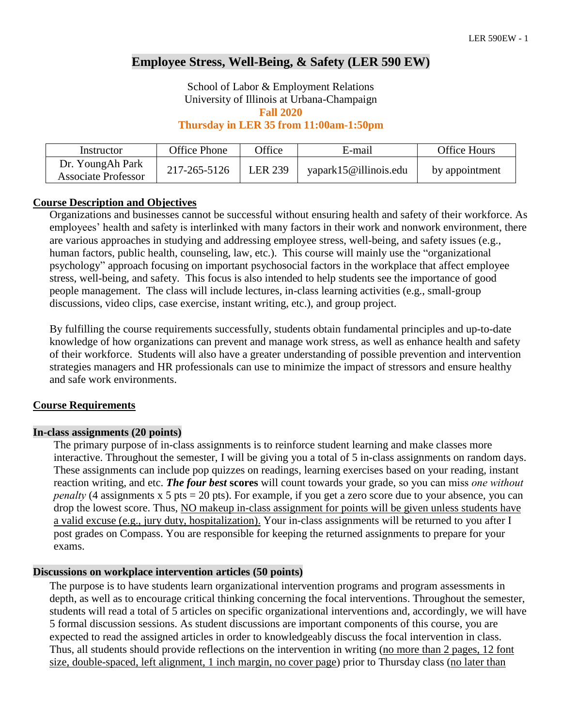# **Employee Stress, Well-Being, & Safety (LER 590 EW)**

School of Labor & Employment Relations University of Illinois at Urbana-Champaign **Fall 2020**

**Thursday in LER 35 from 11:00am-1:50pm**

| Instructor                              | Office Phone | <b>Office</b>  | E-mail                | <b>Office Hours</b> |
|-----------------------------------------|--------------|----------------|-----------------------|---------------------|
| Dr. YoungAh Park<br>Associate Professor | 217-265-5126 | <b>LER 239</b> | yapark15@illinois.edu | by appointment      |

#### **Course Description and Objectives**

Organizations and businesses cannot be successful without ensuring health and safety of their workforce. As employees' health and safety is interlinked with many factors in their work and nonwork environment, there are various approaches in studying and addressing employee stress, well-being, and safety issues (e.g., human factors, public health, counseling, law, etc.). This course will mainly use the "organizational psychology" approach focusing on important psychosocial factors in the workplace that affect employee stress, well-being, and safety. This focus is also intended to help students see the importance of good people management. The class will include lectures, in-class learning activities (e.g., small-group discussions, video clips, case exercise, instant writing, etc.), and group project.

By fulfilling the course requirements successfully, students obtain fundamental principles and up-to-date knowledge of how organizations can prevent and manage work stress, as well as enhance health and safety of their workforce. Students will also have a greater understanding of possible prevention and intervention strategies managers and HR professionals can use to minimize the impact of stressors and ensure healthy and safe work environments.

#### **Course Requirements**

#### **In-class assignments (20 points)**

The primary purpose of in-class assignments is to reinforce student learning and make classes more interactive. Throughout the semester, I will be giving you a total of 5 in-class assignments on random days. These assignments can include pop quizzes on readings, learning exercises based on your reading, instant reaction writing, and etc. *The four best* **scores** will count towards your grade, so you can miss *one without penalty* (4 assignments x 5 pts = 20 pts). For example, if you get a zero score due to your absence, you can drop the lowest score. Thus, NO makeup in-class assignment for points will be given unless students have a valid excuse (e.g., jury duty, hospitalization). Your in-class assignments will be returned to you after I post grades on Compass. You are responsible for keeping the returned assignments to prepare for your exams.

#### **Discussions on workplace intervention articles (50 points)**

The purpose is to have students learn organizational intervention programs and program assessments in depth, as well as to encourage critical thinking concerning the focal interventions. Throughout the semester, students will read a total of 5 articles on specific organizational interventions and, accordingly, we will have 5 formal discussion sessions. As student discussions are important components of this course, you are expected to read the assigned articles in order to knowledgeably discuss the focal intervention in class. Thus, all students should provide reflections on the intervention in writing (no more than 2 pages, 12 font size, double-spaced, left alignment, 1 inch margin, no cover page) prior to Thursday class (no later than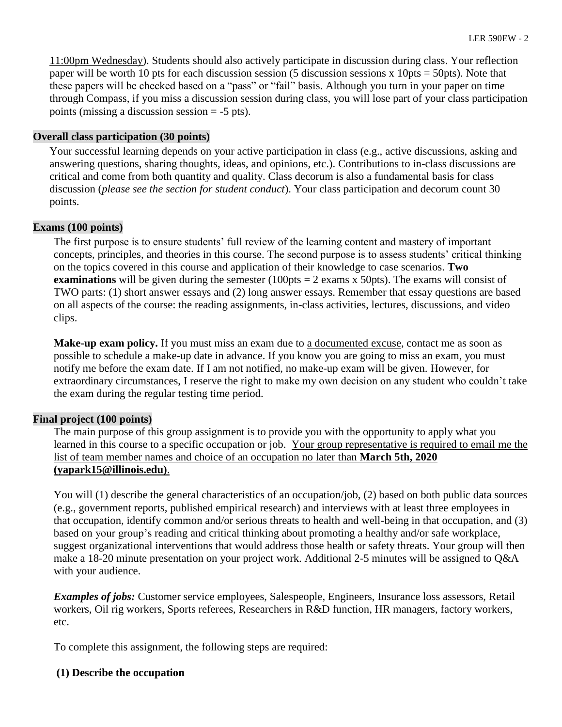11:00pm Wednesday). Students should also actively participate in discussion during class. Your reflection paper will be worth 10 pts for each discussion session (5 discussion sessions x 10pts = 50pts). Note that these papers will be checked based on a "pass" or "fail" basis. Although you turn in your paper on time through Compass, if you miss a discussion session during class, you will lose part of your class participation points (missing a discussion session  $= -5$  pts).

#### **Overall class participation (30 points)**

Your successful learning depends on your active participation in class (e.g., active discussions, asking and answering questions, sharing thoughts, ideas, and opinions, etc.). Contributions to in-class discussions are critical and come from both quantity and quality. Class decorum is also a fundamental basis for class discussion (*please see the section for student conduct*). Your class participation and decorum count 30 points.

#### **Exams (100 points)**

The first purpose is to ensure students' full review of the learning content and mastery of important concepts, principles, and theories in this course. The second purpose is to assess students' critical thinking on the topics covered in this course and application of their knowledge to case scenarios. **Two examinations** will be given during the semester  $(100pts = 2 \text{ exams x} 50pts)$ . The exams will consist of TWO parts: (1) short answer essays and (2) long answer essays. Remember that essay questions are based on all aspects of the course: the reading assignments, in-class activities, lectures, discussions, and video clips.

**Make-up exam policy.** If you must miss an exam due to a documented excuse, contact me as soon as possible to schedule a make-up date in advance. If you know you are going to miss an exam, you must notify me before the exam date. If I am not notified, no make-up exam will be given. However, for extraordinary circumstances, I reserve the right to make my own decision on any student who couldn't take the exam during the regular testing time period.

## **Final project (100 points)**

The main purpose of this group assignment is to provide you with the opportunity to apply what you learned in this course to a specific occupation or job. Your group representative is required to email me the list of team member names and choice of an occupation no later than **March 5th, 2020 (yapark15@illinois.edu)**.

You will (1) describe the general characteristics of an occupation/job, (2) based on both public data sources (e.g., government reports, published empirical research) and interviews with at least three employees in that occupation, identify common and/or serious threats to health and well-being in that occupation, and (3) based on your group's reading and critical thinking about promoting a healthy and/or safe workplace, suggest organizational interventions that would address those health or safety threats. Your group will then make a 18-20 minute presentation on your project work. Additional 2-5 minutes will be assigned to Q&A with your audience.

*Examples of jobs:* Customer service employees, Salespeople, Engineers, Insurance loss assessors, Retail workers, Oil rig workers, Sports referees, Researchers in R&D function, HR managers, factory workers, etc.

To complete this assignment, the following steps are required:

## **(1) Describe the occupation**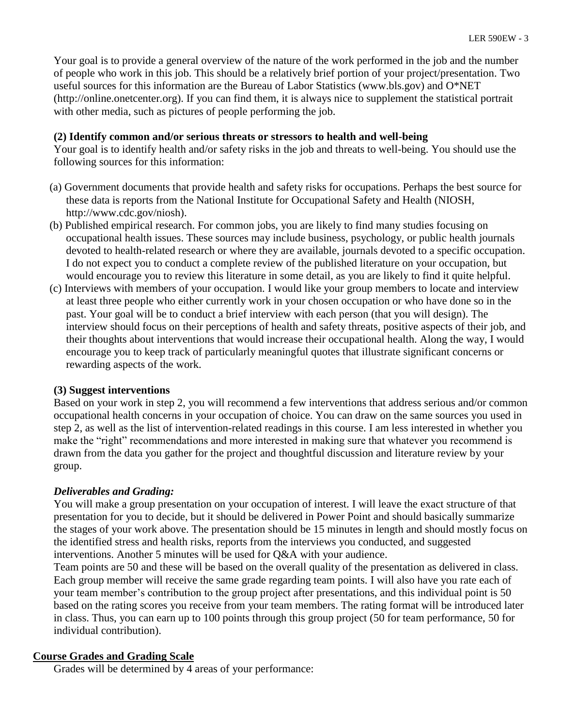Your goal is to provide a general overview of the nature of the work performed in the job and the number of people who work in this job. This should be a relatively brief portion of your project/presentation. Two useful sources for this information are the Bureau of Labor Statistics (www.bls.gov) and O\*NET (http://online.onetcenter.org). If you can find them, it is always nice to supplement the statistical portrait with other media, such as pictures of people performing the job.

#### **(2) Identify common and/or serious threats or stressors to health and well-being**

Your goal is to identify health and/or safety risks in the job and threats to well-being. You should use the following sources for this information:

- (a) Government documents that provide health and safety risks for occupations. Perhaps the best source for these data is reports from the National Institute for Occupational Safety and Health (NIOSH, http://www.cdc.gov/niosh).
- (b) Published empirical research. For common jobs, you are likely to find many studies focusing on occupational health issues. These sources may include business, psychology, or public health journals devoted to health-related research or where they are available, journals devoted to a specific occupation. I do not expect you to conduct a complete review of the published literature on your occupation, but would encourage you to review this literature in some detail, as you are likely to find it quite helpful.
- (c) Interviews with members of your occupation. I would like your group members to locate and interview at least three people who either currently work in your chosen occupation or who have done so in the past. Your goal will be to conduct a brief interview with each person (that you will design). The interview should focus on their perceptions of health and safety threats, positive aspects of their job, and their thoughts about interventions that would increase their occupational health. Along the way, I would encourage you to keep track of particularly meaningful quotes that illustrate significant concerns or rewarding aspects of the work.

#### **(3) Suggest interventions**

Based on your work in step 2, you will recommend a few interventions that address serious and/or common occupational health concerns in your occupation of choice. You can draw on the same sources you used in step 2, as well as the list of intervention-related readings in this course. I am less interested in whether you make the "right" recommendations and more interested in making sure that whatever you recommend is drawn from the data you gather for the project and thoughtful discussion and literature review by your group.

## *Deliverables and Grading:*

You will make a group presentation on your occupation of interest. I will leave the exact structure of that presentation for you to decide, but it should be delivered in Power Point and should basically summarize the stages of your work above. The presentation should be 15 minutes in length and should mostly focus on the identified stress and health risks, reports from the interviews you conducted, and suggested interventions. Another 5 minutes will be used for Q&A with your audience.

Team points are 50 and these will be based on the overall quality of the presentation as delivered in class. Each group member will receive the same grade regarding team points. I will also have you rate each of your team member's contribution to the group project after presentations, and this individual point is 50 based on the rating scores you receive from your team members. The rating format will be introduced later in class. Thus, you can earn up to 100 points through this group project (50 for team performance, 50 for individual contribution).

## **Course Grades and Grading Scale**

Grades will be determined by 4 areas of your performance: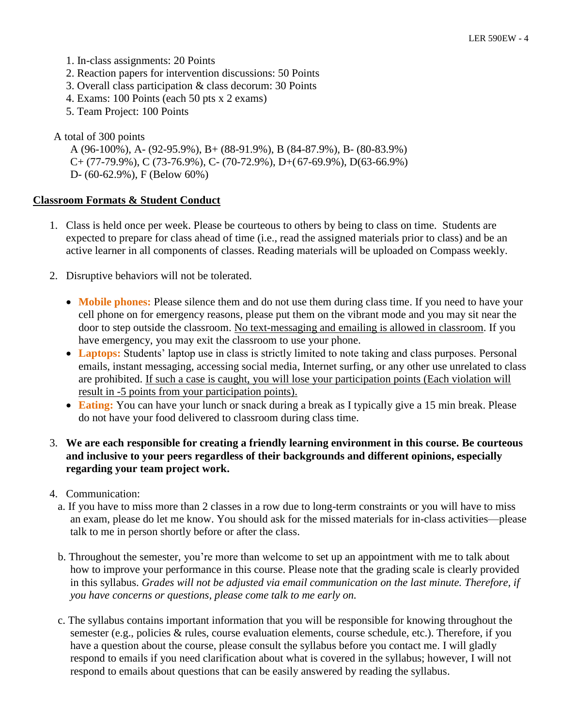- 1. In-class assignments: 20 Points
- 2. Reaction papers for intervention discussions: 50 Points
- 3. Overall class participation & class decorum: 30 Points
- 4. Exams: 100 Points (each 50 pts x 2 exams)
- 5. Team Project: 100 Points

A total of 300 points

A (96-100%), A- (92-95.9%), B+ (88-91.9%), B (84-87.9%), B- (80-83.9%) C+ (77-79.9%), C (73-76.9%), C- (70-72.9%), D+(67-69.9%), D(63-66.9%) D- (60-62.9%), F (Below 60%)

#### **Classroom Formats & Student Conduct**

- 1. Class is held once per week. Please be courteous to others by being to class on time. Students are expected to prepare for class ahead of time (i.e., read the assigned materials prior to class) and be an active learner in all components of classes. Reading materials will be uploaded on Compass weekly.
- 2. Disruptive behaviors will not be tolerated.
	- **Mobile phones:** Please silence them and do not use them during class time. If you need to have your cell phone on for emergency reasons, please put them on the vibrant mode and you may sit near the door to step outside the classroom. No text-messaging and emailing is allowed in classroom. If you have emergency, you may exit the classroom to use your phone.
	- **Laptops:** Students' laptop use in class is strictly limited to note taking and class purposes. Personal emails, instant messaging, accessing social media, Internet surfing, or any other use unrelated to class are prohibited. If such a case is caught, you will lose your participation points (Each violation will result in -5 points from your participation points).
	- **Eating:** You can have your lunch or snack during a break as I typically give a 15 min break. Please do not have your food delivered to classroom during class time.
- 3. **We are each responsible for creating a friendly learning environment in this course. Be courteous and inclusive to your peers regardless of their backgrounds and different opinions, especially regarding your team project work.**
- 4. Communication:
	- a. If you have to miss more than 2 classes in a row due to long-term constraints or you will have to miss an exam, please do let me know. You should ask for the missed materials for in-class activities—please talk to me in person shortly before or after the class.
	- b. Throughout the semester, you're more than welcome to set up an appointment with me to talk about how to improve your performance in this course. Please note that the grading scale is clearly provided in this syllabus. *Grades will not be adjusted via email communication on the last minute. Therefore, if you have concerns or questions, please come talk to me early on.*
	- c. The syllabus contains important information that you will be responsible for knowing throughout the semester (e.g., policies & rules, course evaluation elements, course schedule, etc.). Therefore, if you have a question about the course, please consult the syllabus before you contact me. I will gladly respond to emails if you need clarification about what is covered in the syllabus; however, I will not respond to emails about questions that can be easily answered by reading the syllabus.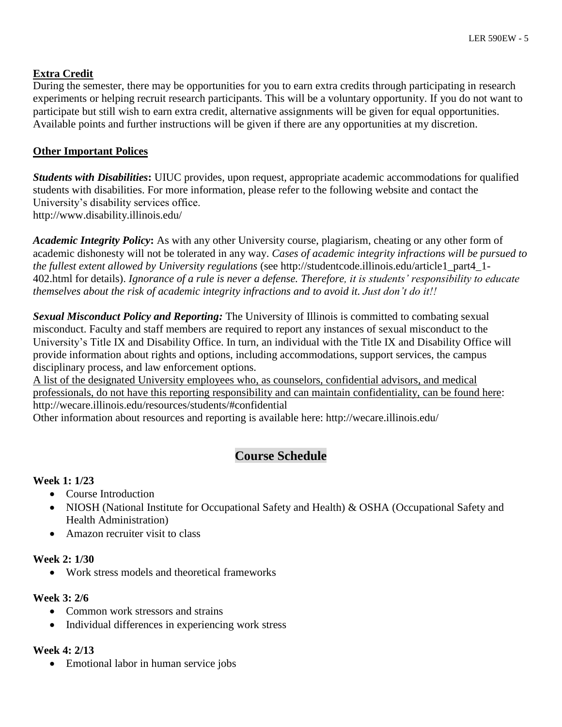# **Extra Credit**

During the semester, there may be opportunities for you to earn extra credits through participating in research experiments or helping recruit research participants. This will be a voluntary opportunity. If you do not want to participate but still wish to earn extra credit, alternative assignments will be given for equal opportunities. Available points and further instructions will be given if there are any opportunities at my discretion.

# **Other Important Polices**

*Students with Disabilities***:** UIUC provides, upon request, appropriate academic accommodations for qualified students with disabilities. For more information, please refer to the following website and contact the University's disability services office. http://www.disability.illinois.edu/

*Academic Integrity Policy***:** As with any other University course, plagiarism, cheating or any other form of academic dishonesty will not be tolerated in any way. *Cases of academic integrity infractions will be pursued to the fullest extent allowed by University regulations* (see http://studentcode.illinois.edu/article1\_part4\_1- 402.html for details). *Ignorance of a rule is never a defense. Therefore, it is students' responsibility to educate themselves about the risk of academic integrity infractions and to avoid it. Just don't do it!!*

*Sexual Misconduct Policy and Reporting:* The University of Illinois is committed to combating sexual misconduct. Faculty and staff members are required to report any instances of sexual misconduct to the University's Title IX and Disability Office. In turn, an individual with the Title IX and Disability Office will provide information about rights and options, including accommodations, support services, the campus disciplinary process, and law enforcement options.

A list of the designated University employees who, as counselors, confidential advisors, and medical professionals, do not have this reporting responsibility and can maintain confidentiality, can be found here: http://wecare.illinois.edu/resources/students/#confidential

Other information about resources and reporting is available here: http://wecare.illinois.edu/

# **Course Schedule**

# **Week 1: 1/23**

- Course Introduction
- NIOSH (National Institute for Occupational Safety and Health) & OSHA (Occupational Safety and Health Administration)
- Amazon recruiter visit to class

## **Week 2: 1/30**

• Work stress models and theoretical frameworks

## **Week 3: 2/6**

- Common work stressors and strains
- Individual differences in experiencing work stress

## **Week 4: 2/13**

• Emotional labor in human service jobs